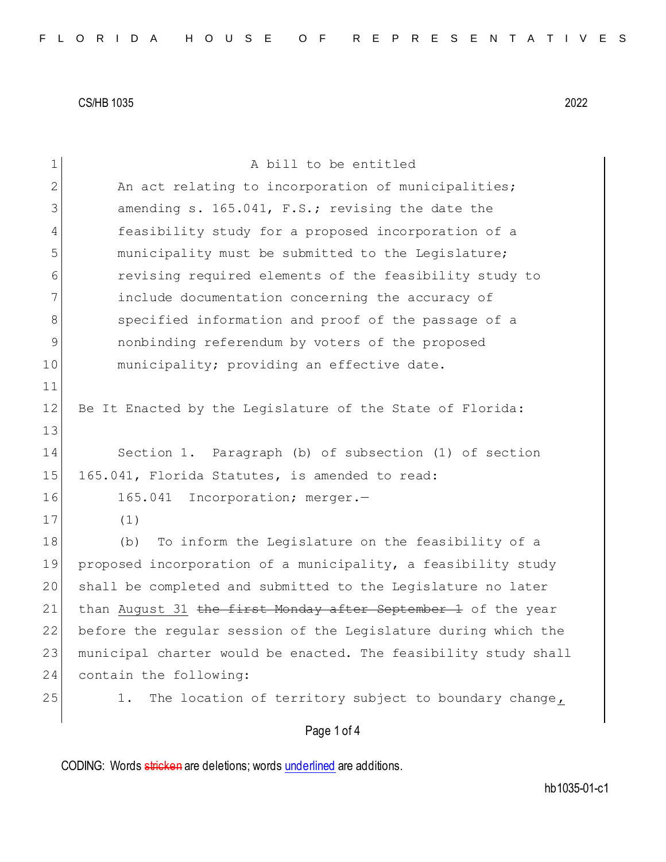| $\mathbf 1$   | A bill to be entitled                                           |
|---------------|-----------------------------------------------------------------|
| 2             | An act relating to incorporation of municipalities;             |
| 3             | amending s. 165.041, F.S.; revising the date the                |
| 4             | feasibility study for a proposed incorporation of a             |
| 5             | municipality must be submitted to the Legislature;              |
| 6             | revising required elements of the feasibility study to          |
| 7             | include documentation concerning the accuracy of                |
| 8             | specified information and proof of the passage of a             |
| $\mathcal{G}$ | nonbinding referendum by voters of the proposed                 |
| 10            | municipality; providing an effective date.                      |
| 11            |                                                                 |
| 12            | Be It Enacted by the Legislature of the State of Florida:       |
| 13            |                                                                 |
| 14            | Section 1. Paragraph (b) of subsection (1) of section           |
| 15            | 165.041, Florida Statutes, is amended to read:                  |
| 16            | 165.041 Incorporation; merger.-                                 |
| 17            | (1)                                                             |
| 18            | To inform the Legislature on the feasibility of a<br>(b)        |
| 19            | proposed incorporation of a municipality, a feasibility study   |
| 20            | shall be completed and submitted to the Legislature no later    |
| 21            | than August 31 the first Monday after September 1 of the year   |
| 22            | before the regular session of the Legislature during which the  |
| 23            | municipal charter would be enacted. The feasibility study shall |
| 24            | contain the following:                                          |
| 25            | The location of territory subject to boundary change,<br>1.     |
|               | Page 1 of 4                                                     |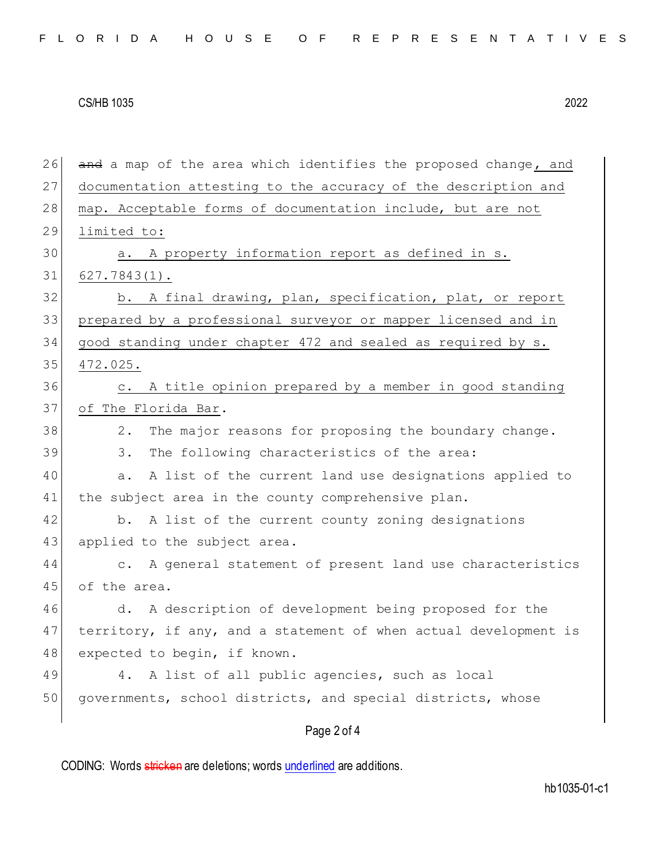| 26 | and a map of the area which identifies the proposed change, and      |
|----|----------------------------------------------------------------------|
| 27 | documentation attesting to the accuracy of the description and       |
| 28 | map. Acceptable forms of documentation include, but are not          |
| 29 | limited to:                                                          |
| 30 | A property information report as defined in s.<br>а.                 |
| 31 | $627.7843(1)$ .                                                      |
| 32 | b. A final drawing, plan, specification, plat, or report             |
| 33 | prepared by a professional surveyor or mapper licensed and in        |
| 34 | good standing under chapter 472 and sealed as required by s.         |
| 35 | 472.025.                                                             |
| 36 | A title opinion prepared by a member in good standing<br>$\circ$ .   |
| 37 | of The Florida Bar.                                                  |
| 38 | The major reasons for proposing the boundary change.<br>2.           |
| 39 | The following characteristics of the area:<br>3.                     |
| 40 | A list of the current land use designations applied to<br>a.         |
| 41 | the subject area in the county comprehensive plan.                   |
| 42 | b. A list of the current county zoning designations                  |
| 43 | applied to the subject area.                                         |
| 44 | A general statement of present land use characteristics<br>$\circ$ . |
| 45 | of the area.                                                         |
| 46 | d. A description of development being proposed for the               |
| 47 | territory, if any, and a statement of when actual development is     |
| 48 | expected to begin, if known.                                         |
| 49 | A list of all public agencies, such as local<br>4.                   |
| 50 | governments, school districts, and special districts, whose          |
|    | Page 2 of 4                                                          |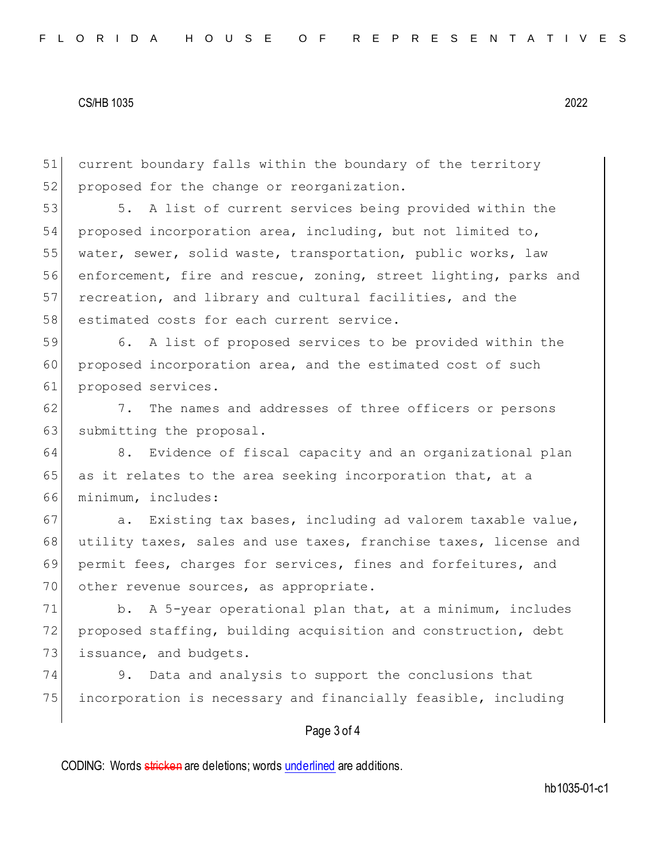51 current boundary falls within the boundary of the territory 52 proposed for the change or reorganization.

53 5. A list of current services being provided within the 54 proposed incorporation area, including, but not limited to, 55 water, sewer, solid waste, transportation, public works, law 56 enforcement, fire and rescue, zoning, street lighting, parks and 57 recreation, and library and cultural facilities, and the 58 estimated costs for each current service.

59 6. A list of proposed services to be provided within the 60 proposed incorporation area, and the estimated cost of such 61 proposed services.

62 7. The names and addresses of three officers or persons 63 submitting the proposal.

64 8. Evidence of fiscal capacity and an organizational plan  $65$  as it relates to the area seeking incorporation that, at a 66 minimum, includes:

67 a. Existing tax bases, including ad valorem taxable value, 68 utility taxes, sales and use taxes, franchise taxes, license and 69 permit fees, charges for services, fines and forfeitures, and 70 other revenue sources, as appropriate.

71 b. A 5-year operational plan that, at a minimum, includes 72 proposed staffing, building acquisition and construction, debt 73 issuance, and budgets.

74 9. Data and analysis to support the conclusions that 75 incorporation is necessary and financially feasible, including

## Page 3 of 4